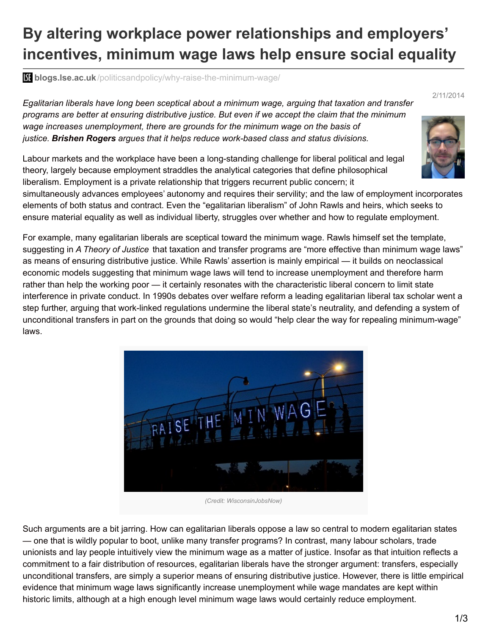## **By altering workplace power relationships and employers' incentives, minimum wage laws help ensure social equality**

**blogs.lse.ac.uk**[/politicsandpolicy/why-raise-the-minimum-wage/](http://blogs.lse.ac.uk/politicsandpolicy/why-raise-the-minimum-wage/)

*Egalitarian liberals have long been sceptical about a minimum wage, arguing that taxation and transfer programs are better at ensuring distributive justice. But even if we accept the claim that the minimum wage increases unemployment, there are grounds for the minimum wage on the basis of justice. Brishen Rogers argues that it helps reduce work-based class and status divisions.*

Labour markets and the workplace have been a long-standing challenge for liberal political and legal theory, largely because employment straddles the analytical categories that define philosophical liberalism. Employment is a private relationship that triggers recurrent public concern; it

simultaneously advances employees' autonomy and requires their servility; and the law of employment incorporates elements of both status and contract. Even the "egalitarian liberalism" of John Rawls and heirs, which seeks to ensure material equality as well as individual liberty, struggles over whether and how to regulate employment.

For example, many egalitarian liberals are sceptical toward the minimum wage. Rawls himself set the template, suggesting in *A Theory of Justice* that taxation and transfer programs are "more effective than minimum wage laws" as means of ensuring distributive justice. While Rawls' assertion is mainly empirical — it builds on neoclassical economic models suggesting that minimum wage laws will tend to increase unemployment and therefore harm rather than help the working poor — it certainly resonates with the characteristic liberal concern to limit state interference in private conduct. In 1990s debates over welfare reform a leading egalitarian liberal tax scholar went a step further, arguing that work-linked regulations undermine the liberal state's neutrality, and defending a system of unconditional transfers in part on the grounds that doing so would "help clear the way for repealing minimum-wage" laws.



*(Credit: WisconsinJobsNow)*

Such arguments are a bit jarring. How can egalitarian liberals oppose a law so central to modern egalitarian states — one that is wildly popular to boot, unlike many transfer programs? In contrast, many labour scholars, trade unionists and lay people intuitively view the minimum wage as a matter of justice. Insofar as that intuition reflects a commitment to a fair distribution of resources, egalitarian liberals have the stronger argument: transfers, especially unconditional transfers, are simply a superior means of ensuring distributive justice. However, there is little empirical evidence that minimum wage laws significantly increase unemployment while wage mandates are kept within historic limits, although at a high enough level minimum wage laws would certainly reduce employment.



2/11/2014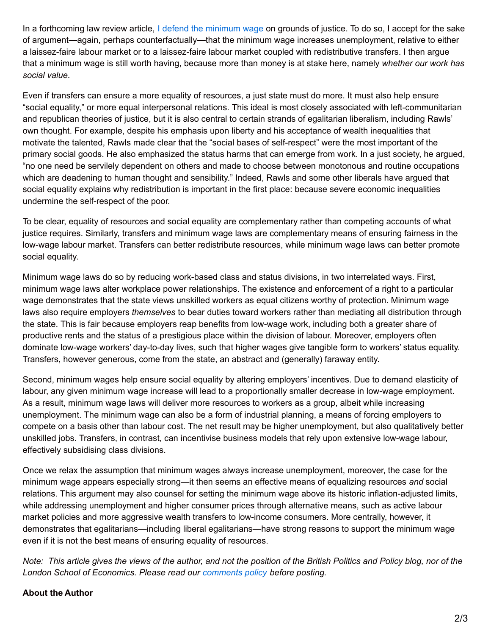In a forthcoming law review article, I defend the [minimum](http://papers.ssrn.com/sol3/papers.cfm?abstract_id=2318559) wage on grounds of justice. To do so, I accept for the sake of argument—again, perhaps counterfactually—that the minimum wage increases unemployment, relative to either a laissez-faire labour market or to a laissez-faire labour market coupled with redistributive transfers. I then argue that a minimum wage is still worth having, because more than money is at stake here, namely *whether our work has social value*.

Even if transfers can ensure a more equality of resources, a just state must do more. It must also help ensure "social equality," or more equal interpersonal relations. This ideal is most closely associated with left-communitarian and republican theories of justice, but it is also central to certain strands of egalitarian liberalism, including Rawls' own thought. For example, despite his emphasis upon liberty and his acceptance of wealth inequalities that motivate the talented, Rawls made clear that the "social bases of self-respect" were the most important of the primary social goods. He also emphasized the status harms that can emerge from work. In a just society, he argued, "no one need be servilely dependent on others and made to choose between monotonous and routine occupations which are deadening to human thought and sensibility." Indeed, Rawls and some other liberals have argued that social equality explains why redistribution is important in the first place: because severe economic inequalities undermine the self-respect of the poor.

To be clear, equality of resources and social equality are complementary rather than competing accounts of what justice requires. Similarly, transfers and minimum wage laws are complementary means of ensuring fairness in the low-wage labour market. Transfers can better redistribute resources, while minimum wage laws can better promote social equality.

Minimum wage laws do so by reducing work-based class and status divisions, in two interrelated ways. First, minimum wage laws alter workplace power relationships. The existence and enforcement of a right to a particular wage demonstrates that the state views unskilled workers as equal citizens worthy of protection. Minimum wage laws also require employers *themselves* to bear duties toward workers rather than mediating all distribution through the state. This is fair because employers reap benefits from low-wage work, including both a greater share of productive rents and the status of a prestigious place within the division of labour. Moreover, employers often dominate low-wage workers' day-to-day lives, such that higher wages give tangible form to workers' status equality. Transfers, however generous, come from the state, an abstract and (generally) faraway entity.

Second, minimum wages help ensure social equality by altering employers' incentives. Due to demand elasticity of labour, any given minimum wage increase will lead to a proportionally smaller decrease in low-wage employment. As a result, minimum wage laws will deliver more resources to workers as a group, albeit while increasing unemployment. The minimum wage can also be a form of industrial planning, a means of forcing employers to compete on a basis other than labour cost. The net result may be higher unemployment, but also qualitatively better unskilled jobs. Transfers, in contrast, can incentivise business models that rely upon extensive low-wage labour, effectively subsidising class divisions.

Once we relax the assumption that minimum wages always increase unemployment, moreover, the case for the minimum wage appears especially strong—it then seems an effective means of equalizing resources *and* social relations. This argument may also counsel for setting the minimum wage above its historic inflation-adjusted limits, while addressing unemployment and higher consumer prices through alternative means, such as active labour market policies and more aggressive wealth transfers to low-income consumers. More centrally, however, it demonstrates that egalitarians—including liberal egalitarians—have strong reasons to support the minimum wage even if it is not the best means of ensuring equality of resources.

Note: This article gives the views of the author, and not the position of the British Politics and Policy blog, nor of the *London School of Economics. Please read our [comments](http://blogs.lse.ac.uk/politicsandpolicy/about/#Comments_Policy) policy before posting.*

## **About the Author**